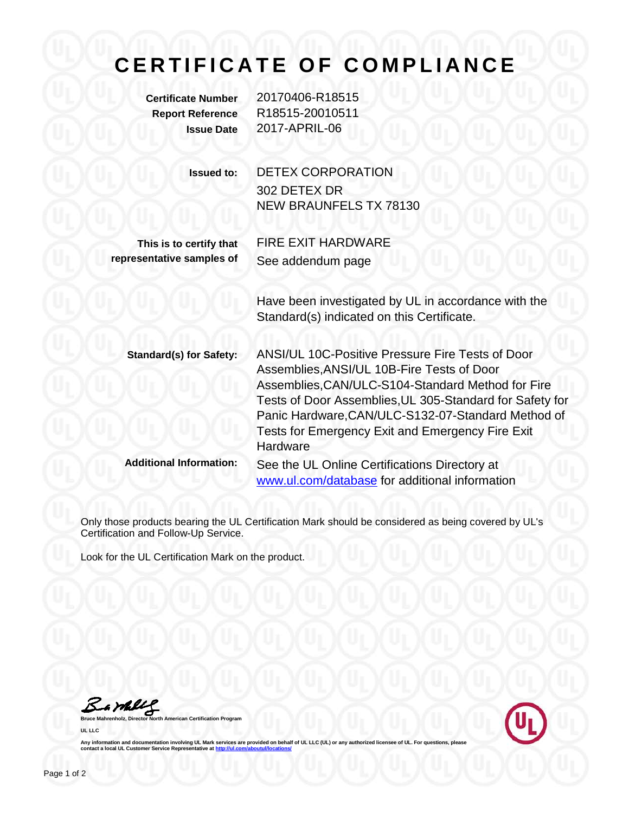## **CERTIFICATE OF COMPLIANCE**

**Certificate Number** 20170406-R18515 **Report Reference** R18515-20010511 **Issue Date** 2017-APRIL-06

| <b>Issued to:</b> | <b>DETEX CORPORATION</b>      |
|-------------------|-------------------------------|
|                   | 302 DETEX DR                  |
|                   | <b>NEW BRAUNFELS TX 78130</b> |
|                   |                               |

**This is to certify that representative samples of** FIRE EXIT HARDWARE See addendum page

Have been investigated by UL in accordance with the Standard(s) indicated on this Certificate.

| <b>Standard(s) for Safety:</b> | ANSI/UL 10C-Positive Pressure Fire Tests of Door<br>Assemblies, ANSI/UL 10B-Fire Tests of Door<br>Assemblies, CAN/ULC-S104-Standard Method for Fire<br>Tests of Door Assemblies, UL 305-Standard for Safety for<br>Panic Hardware, CAN/ULC-S132-07-Standard Method of<br>Tests for Emergency Exit and Emergency Fire Exit<br>Hardware |
|--------------------------------|---------------------------------------------------------------------------------------------------------------------------------------------------------------------------------------------------------------------------------------------------------------------------------------------------------------------------------------|
| <b>Additional Information:</b> | See the UL Online Certifications Directory at<br>www.ul.com/database for additional information                                                                                                                                                                                                                                       |

Only those products bearing the UL Certification Mark should be considered as being covered by UL's Certification and Follow-Up Service.

Look for the UL Certification Mark on the product.

Barbles

**Bruce Mahrenholz, Director North American Certification Program UL LLC**



**Any information and documentation involving UL Mark services are provided on behalf of UL LLC (UL) or any authorized licensee of UL. For questions, please contact a local UL Customer Service Representations**